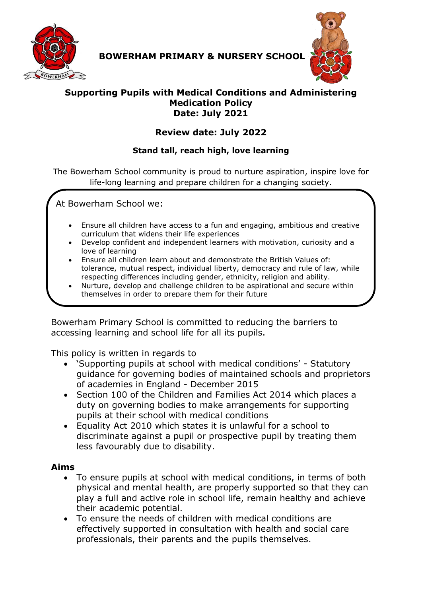

**BOWERHAM PRIMARY & NURSERY SCHOOL**



#### **Supporting Pupils with Medical Conditions and Administering Medication Policy Date: July 2021**

# **Review date: July 2022**

### **Stand tall, reach high, love learning**

The Bowerham School community is proud to nurture aspiration, inspire love for life-long learning and prepare children for a changing society.

At Bowerham School we:

- Ensure all children have access to a fun and engaging, ambitious and creative curriculum that widens their life experiences
- Develop confident and independent learners with motivation, curiosity and a love of learning
- Ensure all children learn about and demonstrate the British Values of: tolerance, mutual respect, individual liberty, democracy and rule of law, while respecting differences including gender, ethnicity, religion and ability.
- Nurture, develop and challenge children to be aspirational and secure within themselves in order to prepare them for their future

Bowerham Primary School is committed to reducing the barriers to accessing learning and school life for all its pupils.

This policy is written in regards to

- 'Supporting pupils at school with medical conditions' Statutory guidance for governing bodies of maintained schools and proprietors of academies in England - December 2015
- Section 100 of the Children and Families Act 2014 which places a duty on governing bodies to make arrangements for supporting pupils at their school with medical conditions
- Equality Act 2010 which states it is unlawful for a school to discriminate against a pupil or prospective pupil by treating them less favourably due to disability.

### **Aims**

- To ensure pupils at school with medical conditions, in terms of both physical and mental health, are properly supported so that they can play a full and active role in school life, remain healthy and achieve their academic potential.
- To ensure the needs of children with medical conditions are effectively supported in consultation with health and social care professionals, their parents and the pupils themselves.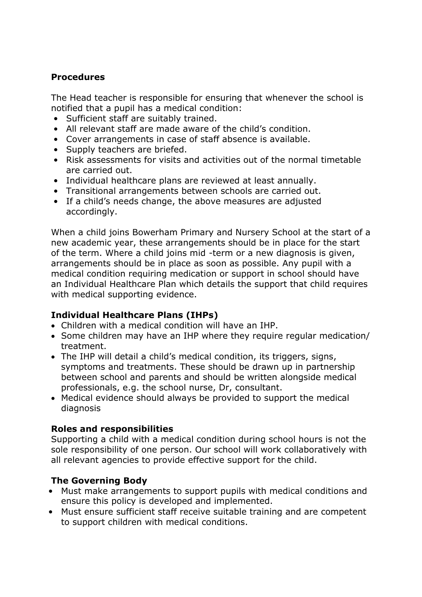#### **Procedures**

The Head teacher is responsible for ensuring that whenever the school is notified that a pupil has a medical condition:

- Sufficient staff are suitably trained.
- All relevant staff are made aware of the child's condition.
- Cover arrangements in case of staff absence is available.
- Supply teachers are briefed.
- Risk assessments for visits and activities out of the normal timetable are carried out.
- Individual healthcare plans are reviewed at least annually.
- Transitional arrangements between schools are carried out.
- If a child's needs change, the above measures are adjusted accordingly.

When a child joins Bowerham Primary and Nursery School at the start of a new academic year, these arrangements should be in place for the start of the term. Where a child joins mid -term or a new diagnosis is given, arrangements should be in place as soon as possible. Any pupil with a medical condition requiring medication or support in school should have an Individual Healthcare Plan which details the support that child requires with medical supporting evidence.

### **Individual Healthcare Plans (IHPs)**

- Children with a medical condition will have an IHP.
- Some children may have an IHP where they require regular medication/ treatment.
- The IHP will detail a child's medical condition, its triggers, signs, symptoms and treatments. These should be drawn up in partnership between school and parents and should be written alongside medical professionals, e.g. the school nurse, Dr, consultant.
- Medical evidence should always be provided to support the medical diagnosis

### **Roles and responsibilities**

Supporting a child with a medical condition during school hours is not the sole responsibility of one person. Our school will work collaboratively with all relevant agencies to provide effective support for the child.

# **The Governing Body**

- Must make arrangements to support pupils with medical conditions and ensure this policy is developed and implemented.
- Must ensure sufficient staff receive suitable training and are competent to support children with medical conditions.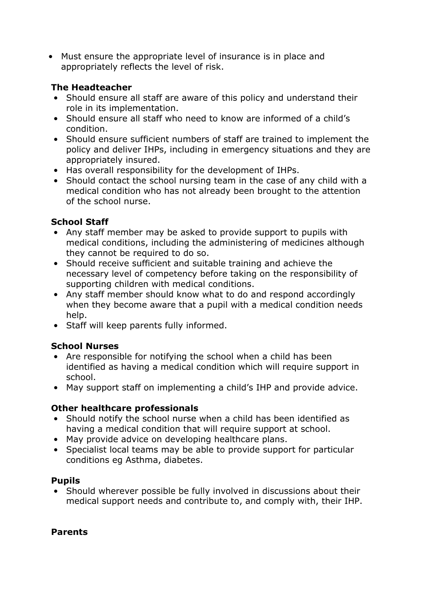• Must ensure the appropriate level of insurance is in place and appropriately reflects the level of risk.

### **The Headteacher**

- Should ensure all staff are aware of this policy and understand their role in its implementation.
- Should ensure all staff who need to know are informed of a child's condition.
- Should ensure sufficient numbers of staff are trained to implement the policy and deliver IHPs, including in emergency situations and they are appropriately insured.
- Has overall responsibility for the development of IHPs.
- Should contact the school nursing team in the case of any child with a medical condition who has not already been brought to the attention of the school nurse.

# **School Staff**

- Any staff member may be asked to provide support to pupils with medical conditions, including the administering of medicines although they cannot be required to do so.
- Should receive sufficient and suitable training and achieve the necessary level of competency before taking on the responsibility of supporting children with medical conditions.
- Any staff member should know what to do and respond accordingly when they become aware that a pupil with a medical condition needs help.
- Staff will keep parents fully informed.

# **School Nurses**

- Are responsible for notifying the school when a child has been identified as having a medical condition which will require support in school.
- May support staff on implementing a child's IHP and provide advice.

# **Other healthcare professionals**

- Should notify the school nurse when a child has been identified as having a medical condition that will require support at school.
- May provide advice on developing healthcare plans.
- Specialist local teams may be able to provide support for particular conditions eg Asthma, diabetes.

# **Pupils**

• Should wherever possible be fully involved in discussions about their medical support needs and contribute to, and comply with, their IHP.

### **Parents**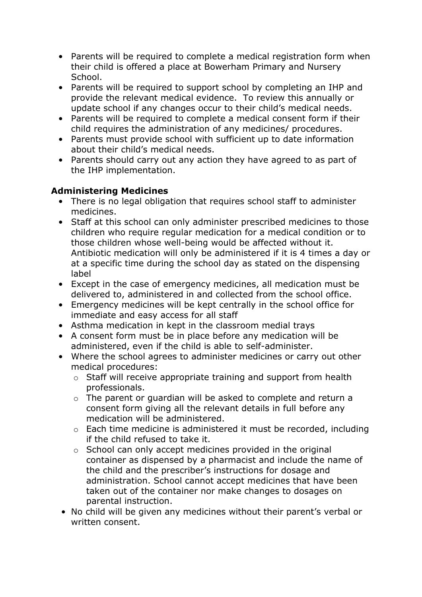- Parents will be required to complete a medical registration form when their child is offered a place at Bowerham Primary and Nursery School.
- Parents will be required to support school by completing an IHP and provide the relevant medical evidence. To review this annually or update school if any changes occur to their child's medical needs.
- Parents will be required to complete a medical consent form if their child requires the administration of any medicines/ procedures.
- Parents must provide school with sufficient up to date information about their child's medical needs.
- Parents should carry out any action they have agreed to as part of the IHP implementation.

# **Administering Medicines**

- There is no legal obligation that requires school staff to administer medicines.
- Staff at this school can only administer prescribed medicines to those children who require regular medication for a medical condition or to those children whose well-being would be affected without it. Antibiotic medication will only be administered if it is 4 times a day or at a specific time during the school day as stated on the dispensing label
- Except in the case of emergency medicines, all medication must be delivered to, administered in and collected from the school office.
- Emergency medicines will be kept centrally in the school office for immediate and easy access for all staff
- Asthma medication in kept in the classroom medial trays
- A consent form must be in place before any medication will be administered, even if the child is able to self-administer.
- Where the school agrees to administer medicines or carry out other medical procedures:
	- o Staff will receive appropriate training and support from health professionals.
	- o The parent or guardian will be asked to complete and return a consent form giving all the relevant details in full before any medication will be administered.
	- o Each time medicine is administered it must be recorded, including if the child refused to take it.
	- o School can only accept medicines provided in the original container as dispensed by a pharmacist and include the name of the child and the prescriber's instructions for dosage and administration. School cannot accept medicines that have been taken out of the container nor make changes to dosages on parental instruction.
- No child will be given any medicines without their parent's verbal or written consent.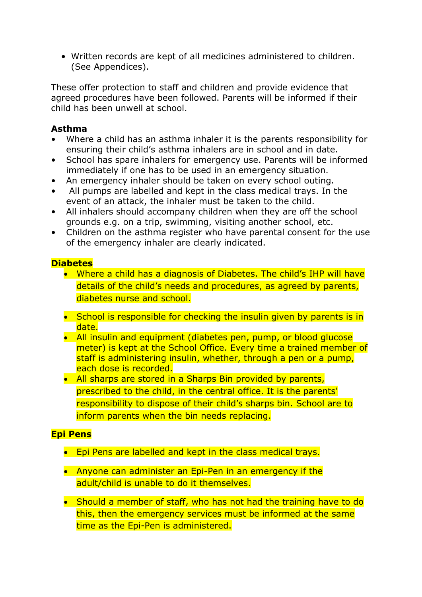• Written records are kept of all medicines administered to children. (See Appendices).

These offer protection to staff and children and provide evidence that agreed procedures have been followed. Parents will be informed if their child has been unwell at school.

#### **Asthma**

- Where a child has an asthma inhaler it is the parents responsibility for ensuring their child's asthma inhalers are in school and in date.
- School has spare inhalers for emergency use. Parents will be informed immediately if one has to be used in an emergency situation.
- An emergency inhaler should be taken on every school outing.
- All pumps are labelled and kept in the class medical trays. In the event of an attack, the inhaler must be taken to the child.
- All inhalers should accompany children when they are off the school grounds e.g. on a trip, swimming, visiting another school, etc.
- Children on the asthma register who have parental consent for the use of the emergency inhaler are clearly indicated.

#### **Diabetes**

- Where a child has a diagnosis of Diabetes. The child's IHP will have details of the child's needs and procedures, as agreed by parents, diabetes nurse and school.
- School is responsible for checking the insulin given by parents is in date.
- All insulin and equipment (diabetes pen, pump, or blood glucose meter) is kept at the School Office. Every time a trained member of staff is administering insulin, whether, through a pen or a pump, each dose is recorded.
- All sharps are stored in a Sharps Bin provided by parents, prescribed to the child, in the central office. It is the parents' responsibility to dispose of their child's sharps bin. School are to inform parents when the bin needs replacing.

### **Epi Pens**

- Epi Pens are labelled and kept in the class medical trays.
- Anyone can administer an Epi-Pen in an emergency if the adult/child is unable to do it themselves.
- Should a member of staff, who has not had the training have to do this, then the emergency services must be informed at the same time as the Epi-Pen is administered.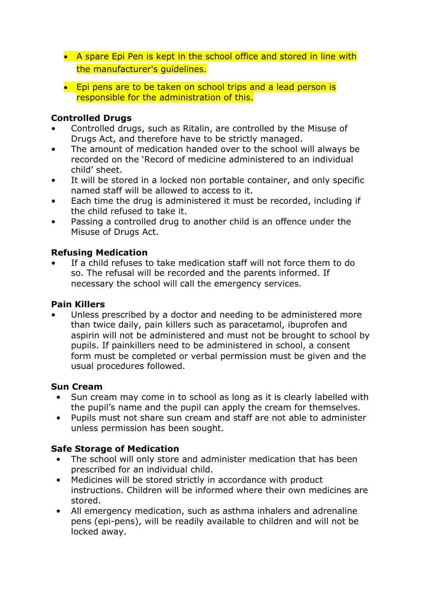- A spare Epi Pen is kept in the school office and stored in line with the manufacturer's guidelines.
- Epi pens are to be taken on school trips and a lead person is responsible for the administration of this.

### **Controlled Drugs**

- Controlled drugs, such as Ritalin, are controlled by the Misuse of Drugs Act, and therefore have to be strictly managed.
- The amount of medication handed over to the school will always be recorded on the 'Record of medicine administered to an individual child' sheet.
- It will be stored in a locked non portable container, and only specific named staff will be allowed to access to it.
- Each time the drug is administered it must be recorded, including if the child refused to take it.
- Passing a controlled drug to another child is an offence under the Misuse of Drugs Act.

### **Refusing Medication**

If a child refuses to take medication staff will not force them to do so. The refusal will be recorded and the parents informed. If necessary the school will call the emergency services.

#### **Pain Killers**

Unless prescribed by a doctor and needing to be administered more than twice daily, pain killers such as paracetamol, ibuprofen and aspirin will not be administered and must not be brought to school by pupils. If painkillers need to be administered in school, a consent form must be completed or verbal permission must be given and the usual procedures followed.

#### **Sun Cream**

- Sun cream may come in to school as long as it is clearly labelled with the pupil's name and the pupil can apply the cream for themselves.
- Pupils must not share sun cream and staff are not able to administer unless permission has been sought.

### **Safe Storage of Medication**

- The school will only store and administer medication that has been prescribed for an individual child.
- Medicines will be stored strictly in accordance with product instructions. Children will be informed where their own medicines are stored.
- All emergency medication, such as asthma inhalers and adrenaline pens (epi-pens), will be readily available to children and will not be locked away.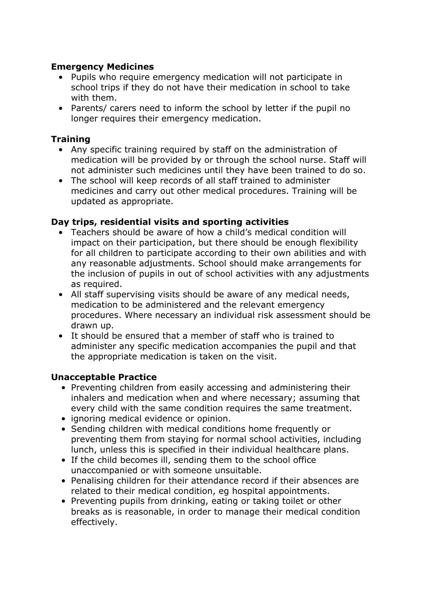#### **Emergency Medicines**

- Pupils who require emergency medication will not participate in school trips if they do not have their medication in school to take with them.
- Parents/ carers need to inform the school by letter if the pupil no longer requires their emergency medication.

#### **Training**

- Any specific training required by staff on the administration of medication will be provided by or through the school nurse. Staff will not administer such medicines until they have been trained to do so.
- The school will keep records of all staff trained to administer medicines and carry out other medical procedures. Training will be updated as appropriate.

#### **Day trips, residential visits and sporting activities**

- Teachers should be aware of how a child's medical condition will impact on their participation, but there should be enough flexibility for all children to participate according to their own abilities and with any reasonable adjustments. School should make arrangements for the inclusion of pupils in out of school activities with any adjustments as required.
- All staff supervising visits should be aware of any medical needs, medication to be administered and the relevant emergency procedures. Where necessary an individual risk assessment should be drawn up.
- It should be ensured that a member of staff who is trained to administer any specific medication accompanies the pupil and that the appropriate medication is taken on the visit.

#### **Unacceptable Practice**

- Preventing children from easily accessing and administering their inhalers and medication when and where necessary; assuming that every child with the same condition requires the same treatment.
- ignoring medical evidence or opinion.
- Sending children with medical conditions home frequently or preventing them from staying for normal school activities, including lunch, unless this is specified in their individual healthcare plans.
- If the child becomes ill, sending them to the school office unaccompanied or with someone unsuitable.
- Penalising children for their attendance record if their absences are related to their medical condition, eg hospital appointments.
- Preventing pupils from drinking, eating or taking toilet or other breaks as is reasonable, in order to manage their medical condition effectively.